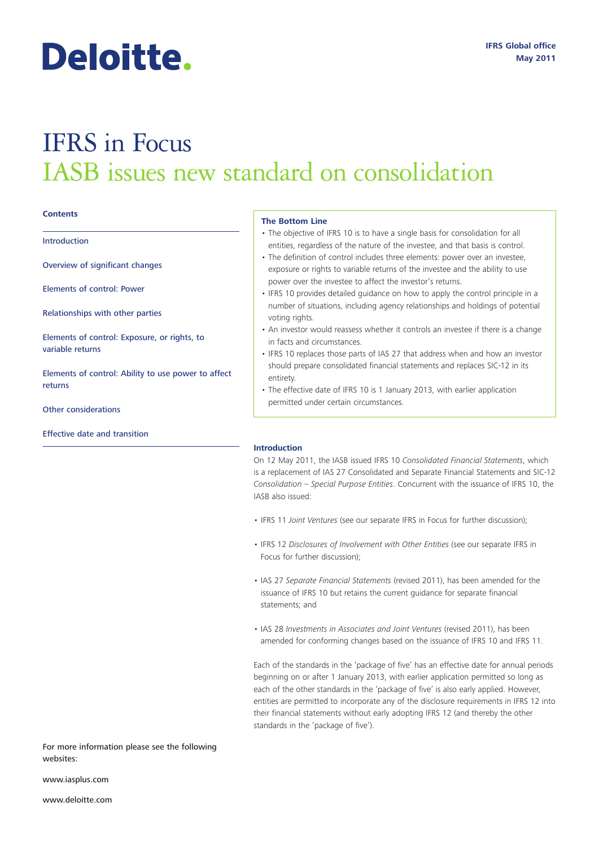# Deloitte.

## IFRS in Focus IASB issues new standard on consolidation

#### **Contents**

Introduction

[Overview of significant changes](#page-1-0)

[Elements of control: Power](#page-1-0)

[Relationships with other parties](#page-5-0)

[Elements of control: Exposure, or rights, to](#page-5-0) variable returns

[Elements of control: Ability to use power to affect](#page-5-0) returns

[Other considerations](#page-6-0)

[Effective date and transition](#page-6-0)

#### **The Bottom Line**

- The objective of IFRS 10 is to have a single basis for consolidation for all entities, regardless of the nature of the investee, and that basis is control.
- The definition of control includes three elements: power over an investee, exposure or rights to variable returns of the investee and the ability to use power over the investee to affect the investor's returns.
- IFRS 10 provides detailed guidance on how to apply the control principle in a number of situations, including agency relationships and holdings of potential voting rights.
- An investor would reassess whether it controls an investee if there is a change in facts and circumstances.
- IFRS 10 replaces those parts of IAS 27 that address when and how an investor should prepare consolidated financial statements and replaces SIC-12 in its entirety.
- The effective date of IFRS 10 is 1 January 2013, with earlier application permitted under certain circumstances.

#### **Introduction**

On 12 May 2011, the IASB issued IFRS 10 *Consolidated Financial Statements*, which is a replacement of IAS 27 Consolidated and Separate Financial Statements and SIC-12 *Consolidation – Special Purpose Entities*. Concurrent with the issuance of IFRS 10, the IASB also issued:

- IFRS 11 *Joint Ventures* (see our separate IFRS in Focus for further discussion);
- IFRS 12 *Disclosures of Involvement with Other Entities* (see our separate IFRS in Focus for further discussion);
- IAS 27 *Separate Financial Statements* (revised 2011), has been amended for the issuance of IFRS 10 but retains the current guidance for separate financial statements; and
- IAS 28 *Investments in Associates and Joint Ventures* (revised 2011), has been amended for conforming changes based on the issuance of IFRS 10 and IFRS 11.

Each of the standards in the 'package of five' has an effective date for annual periods beginning on or after 1 January 2013, with earlier application permitted so long as each of the other standards in the 'package of five' is also early applied. However, entities are permitted to incorporate any of the disclosure requirements in IFRS 12 into their financial statements without early adopting IFRS 12 (and thereby the other standards in the 'package of five').

For more information please see the following websites:

www.iasplus.com

www.deloitte.com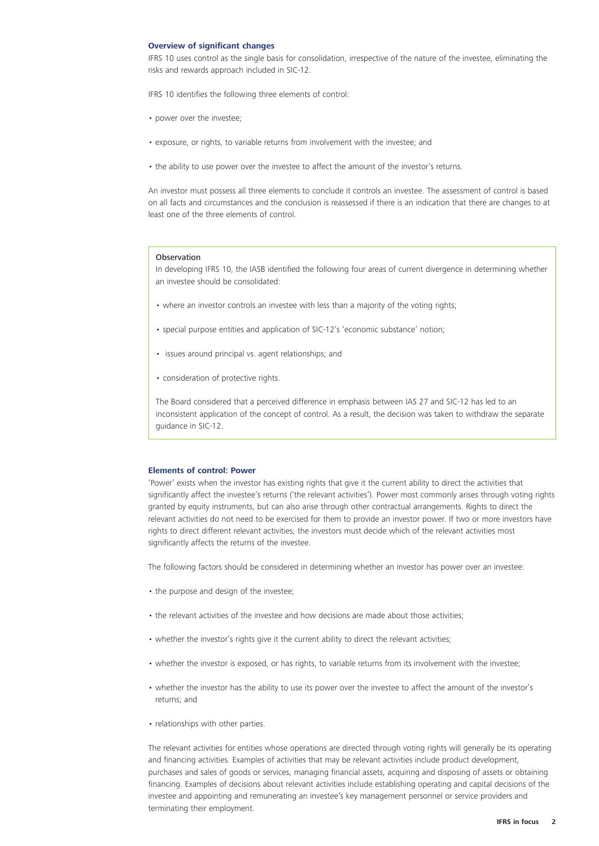#### <span id="page-1-0"></span>**Overview of significant changes**

IFRS 10 uses control as the single basis for consolidation, irrespective of the nature of the investee, eliminating the risks and rewards approach included in SIC-12.

IFRS 10 identifies the following three elements of control:

- power over the investee;
- exposure, or rights, to variable returns from involvement with the investee; and
- the ability to use power over the investee to affect the amount of the investor's returns.

An investor must possess all three elements to conclude it controls an investee. The assessment of control is based on all facts and circumstances and the conclusion is reassessed if there is an indication that there are changes to at least one of the three elements of control.

#### **Observation**

In developing IFRS 10, the IASB identified the following four areas of current divergence in determining whether an investee should be consolidated:

- where an investor controls an investee with less than a majority of the voting rights;
- special purpose entities and application of SIC-12's 'economic substance' notion;
- issues around principal vs. agent relationships; and
- consideration of protective rights.

The Board considered that a perceived difference in emphasis between IAS 27 and SIC-12 has led to an inconsistent application of the concept of control. As a result, the decision was taken to withdraw the separate guidance in SIC-12.

#### **Elements of control: Power**

'Power' exists when the investor has existing rights that give it the current ability to direct the activities that significantly affect the investee's returns ('the relevant activities'). Power most commonly arises through voting rights granted by equity instruments, but can also arise through other contractual arrangements. Rights to direct the relevant activities do not need to be exercised for them to provide an investor power. If two or more investors have rights to direct different relevant activities, the investors must decide which of the relevant activities most significantly affects the returns of the investee.

The following factors should be considered in determining whether an investor has power over an investee:

- the purpose and design of the investee;
- the relevant activities of the investee and how decisions are made about those activities;
- whether the investor's rights give it the current ability to direct the relevant activities;
- whether the investor is exposed, or has rights, to variable returns from its involvement with the investee;
- whether the investor has the ability to use its power over the investee to affect the amount of the investor's returns; and
- relationships with other parties.

The relevant activities for entities whose operations are directed through voting rights will generally be its operating and financing activities. Examples of activities that may be relevant activities include product development, purchases and sales of goods or services, managing financial assets, acquiring and disposing of assets or obtaining financing. Examples of decisions about relevant activities include establishing operating and capital decisions of the investee and appointing and remunerating an investee's key management personnel or service providers and terminating their employment.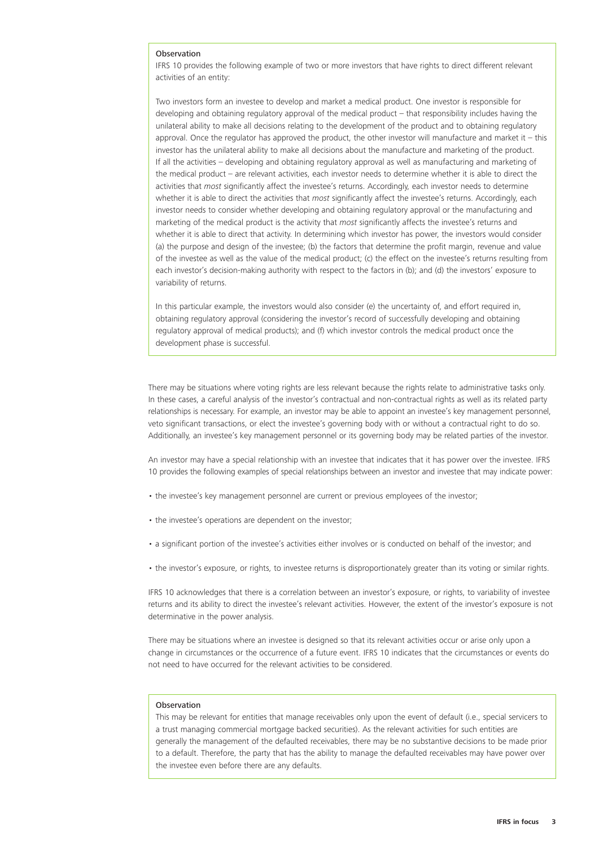#### Observation

IFRS 10 provides the following example of two or more investors that have rights to direct different relevant activities of an entity:

Two investors form an investee to develop and market a medical product. One investor is responsible for developing and obtaining regulatory approval of the medical product – that responsibility includes having the unilateral ability to make all decisions relating to the development of the product and to obtaining regulatory approval. Once the regulator has approved the product, the other investor will manufacture and market it – this investor has the unilateral ability to make all decisions about the manufacture and marketing of the product. If all the activities – developing and obtaining regulatory approval as well as manufacturing and marketing of the medical product – are relevant activities, each investor needs to determine whether it is able to direct the activities that *most* significantly affect the investee's returns. Accordingly, each investor needs to determine whether it is able to direct the activities that *most* significantly affect the investee's returns. Accordingly, each investor needs to consider whether developing and obtaining regulatory approval or the manufacturing and marketing of the medical product is the activity that *most* significantly affects the investee's returns and whether it is able to direct that activity. In determining which investor has power, the investors would consider (a) the purpose and design of the investee; (b) the factors that determine the profit margin, revenue and value of the investee as well as the value of the medical product; (c) the effect on the investee's returns resulting from each investor's decision-making authority with respect to the factors in (b); and (d) the investors' exposure to variability of returns.

In this particular example, the investors would also consider (e) the uncertainty of, and effort required in, obtaining regulatory approval (considering the investor's record of successfully developing and obtaining regulatory approval of medical products); and (f) which investor controls the medical product once the development phase is successful.

There may be situations where voting rights are less relevant because the rights relate to administrative tasks only. In these cases, a careful analysis of the investor's contractual and non-contractual rights as well as its related party relationships is necessary. For example, an investor may be able to appoint an investee's key management personnel, veto significant transactions, or elect the investee's governing body with or without a contractual right to do so. Additionally, an investee's key management personnel or its governing body may be related parties of the investor.

An investor may have a special relationship with an investee that indicates that it has power over the investee. IFRS 10 provides the following examples of special relationships between an investor and investee that may indicate power:

- the investee's key management personnel are current or previous employees of the investor;
- the investee's operations are dependent on the investor;
- a significant portion of the investee's activities either involves or is conducted on behalf of the investor; and
- the investor's exposure, or rights, to investee returns is disproportionately greater than its voting or similar rights.

IFRS 10 acknowledges that there is a correlation between an investor's exposure, or rights, to variability of investee returns and its ability to direct the investee's relevant activities. However, the extent of the investor's exposure is not determinative in the power analysis.

There may be situations where an investee is designed so that its relevant activities occur or arise only upon a change in circumstances or the occurrence of a future event. IFRS 10 indicates that the circumstances or events do not need to have occurred for the relevant activities to be considered.

#### Observation

This may be relevant for entities that manage receivables only upon the event of default (i.e., special servicers to a trust managing commercial mortgage backed securities). As the relevant activities for such entities are generally the management of the defaulted receivables, there may be no substantive decisions to be made prior to a default. Therefore, the party that has the ability to manage the defaulted receivables may have power over the investee even before there are any defaults.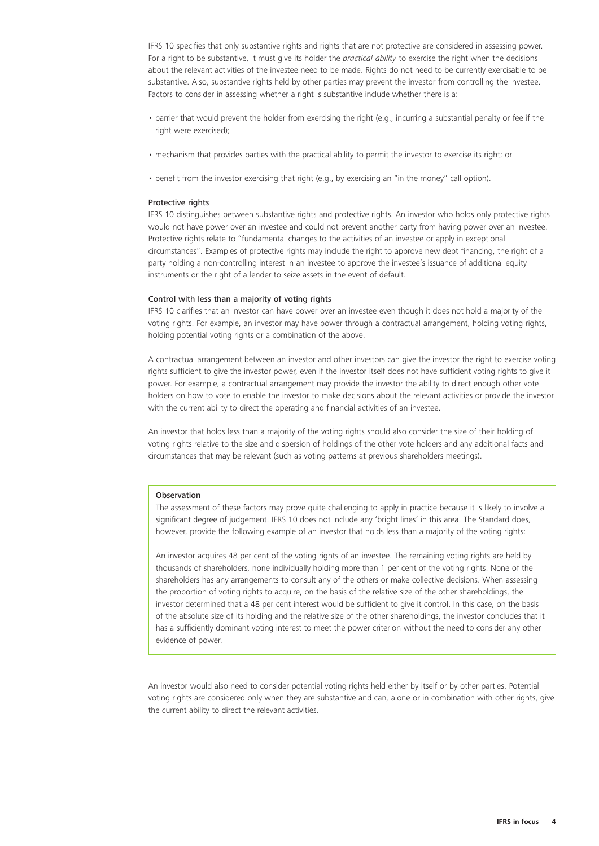IFRS 10 specifies that only substantive rights and rights that are not protective are considered in assessing power. For a right to be substantive, it must give its holder the *practical ability* to exercise the right when the decisions about the relevant activities of the investee need to be made. Rights do not need to be currently exercisable to be substantive. Also, substantive rights held by other parties may prevent the investor from controlling the investee. Factors to consider in assessing whether a right is substantive include whether there is a:

- barrier that would prevent the holder from exercising the right (e.g., incurring a substantial penalty or fee if the right were exercised);
- mechanism that provides parties with the practical ability to permit the investor to exercise its right; or
- benefit from the investor exercising that right (e.g., by exercising an "in the money" call option).

#### Protective rights

IFRS 10 distinguishes between substantive rights and protective rights. An investor who holds only protective rights would not have power over an investee and could not prevent another party from having power over an investee. Protective rights relate to "fundamental changes to the activities of an investee or apply in exceptional circumstances". Examples of protective rights may include the right to approve new debt financing, the right of a party holding a non-controlling interest in an investee to approve the investee's issuance of additional equity instruments or the right of a lender to seize assets in the event of default.

#### Control with less than a majority of voting rights

IFRS 10 clarifies that an investor can have power over an investee even though it does not hold a majority of the voting rights. For example, an investor may have power through a contractual arrangement, holding voting rights, holding potential voting rights or a combination of the above.

A contractual arrangement between an investor and other investors can give the investor the right to exercise voting rights sufficient to give the investor power, even if the investor itself does not have sufficient voting rights to give it power. For example, a contractual arrangement may provide the investor the ability to direct enough other vote holders on how to vote to enable the investor to make decisions about the relevant activities or provide the investor with the current ability to direct the operating and financial activities of an investee.

An investor that holds less than a majority of the voting rights should also consider the size of their holding of voting rights relative to the size and dispersion of holdings of the other vote holders and any additional facts and circumstances that may be relevant (such as voting patterns at previous shareholders meetings).

#### **Observation**

The assessment of these factors may prove quite challenging to apply in practice because it is likely to involve a significant degree of judgement. IFRS 10 does not include any 'bright lines' in this area. The Standard does, however, provide the following example of an investor that holds less than a majority of the voting rights:

An investor acquires 48 per cent of the voting rights of an investee. The remaining voting rights are held by thousands of shareholders, none individually holding more than 1 per cent of the voting rights. None of the shareholders has any arrangements to consult any of the others or make collective decisions. When assessing the proportion of voting rights to acquire, on the basis of the relative size of the other shareholdings, the investor determined that a 48 per cent interest would be sufficient to give it control. In this case, on the basis of the absolute size of its holding and the relative size of the other shareholdings, the investor concludes that it has a sufficiently dominant voting interest to meet the power criterion without the need to consider any other evidence of power.

An investor would also need to consider potential voting rights held either by itself or by other parties. Potential voting rights are considered only when they are substantive and can, alone or in combination with other rights, give the current ability to direct the relevant activities.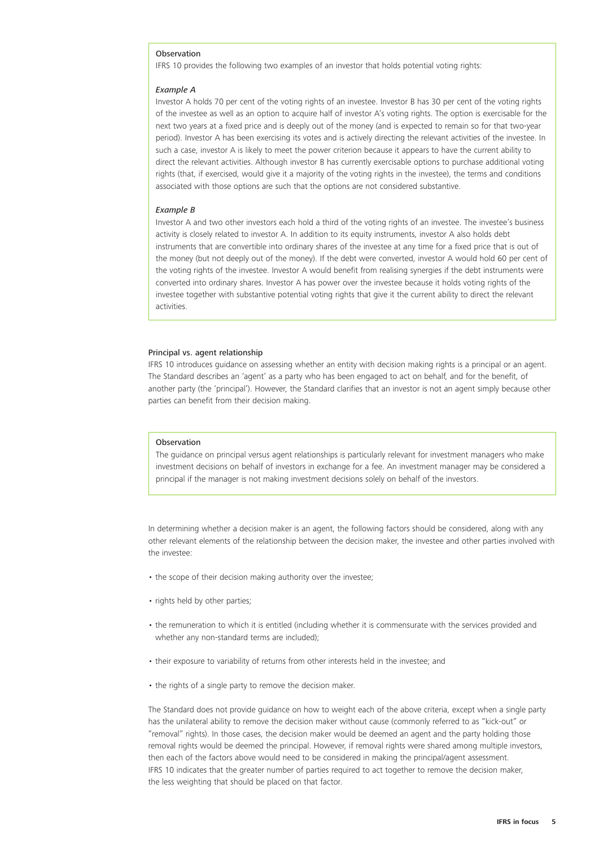#### Observation

IFRS 10 provides the following two examples of an investor that holds potential voting rights:

#### *Example A*

Investor A holds 70 per cent of the voting rights of an investee. Investor B has 30 per cent of the voting rights of the investee as well as an option to acquire half of investor A's voting rights. The option is exercisable for the next two years at a fixed price and is deeply out of the money (and is expected to remain so for that two-year period). Investor A has been exercising its votes and is actively directing the relevant activities of the investee. In such a case, investor A is likely to meet the power criterion because it appears to have the current ability to direct the relevant activities. Although investor B has currently exercisable options to purchase additional voting rights (that, if exercised, would give it a majority of the voting rights in the investee), the terms and conditions associated with those options are such that the options are not considered substantive.

#### *Example B*

Investor A and two other investors each hold a third of the voting rights of an investee. The investee's business activity is closely related to investor A. In addition to its equity instruments, investor A also holds debt instruments that are convertible into ordinary shares of the investee at any time for a fixed price that is out of the money (but not deeply out of the money). If the debt were converted, investor A would hold 60 per cent of the voting rights of the investee. Investor A would benefit from realising synergies if the debt instruments were converted into ordinary shares. Investor A has power over the investee because it holds voting rights of the investee together with substantive potential voting rights that give it the current ability to direct the relevant activities.

#### Principal vs. agent relationship

IFRS 10 introduces guidance on assessing whether an entity with decision making rights is a principal or an agent. The Standard describes an 'agent' as a party who has been engaged to act on behalf, and for the benefit, of another party (the 'principal'). However, the Standard clarifies that an investor is not an agent simply because other parties can benefit from their decision making.

#### Observation

The guidance on principal versus agent relationships is particularly relevant for investment managers who make investment decisions on behalf of investors in exchange for a fee. An investment manager may be considered a principal if the manager is not making investment decisions solely on behalf of the investors.

In determining whether a decision maker is an agent, the following factors should be considered, along with any other relevant elements of the relationship between the decision maker, the investee and other parties involved with the investee:

- the scope of their decision making authority over the investee;
- rights held by other parties;
- the remuneration to which it is entitled (including whether it is commensurate with the services provided and whether any non-standard terms are included);
- their exposure to variability of returns from other interests held in the investee; and
- the rights of a single party to remove the decision maker.

The Standard does not provide guidance on how to weight each of the above criteria, except when a single party has the unilateral ability to remove the decision maker without cause (commonly referred to as "kick-out" or "removal" rights). In those cases, the decision maker would be deemed an agent and the party holding those removal rights would be deemed the principal. However, if removal rights were shared among multiple investors, then each of the factors above would need to be considered in making the principal/agent assessment. IFRS 10 indicates that the greater number of parties required to act together to remove the decision maker, the less weighting that should be placed on that factor.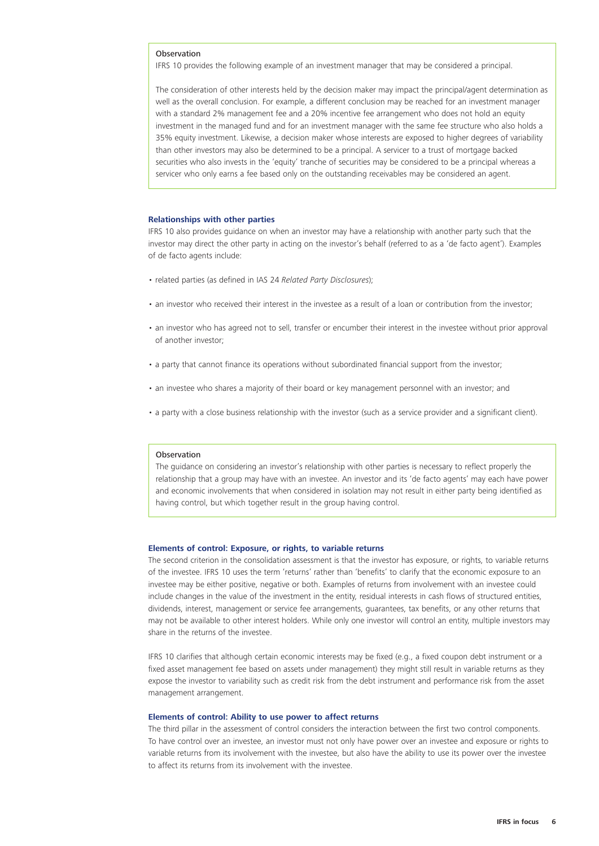#### <span id="page-5-0"></span>Observation

IFRS 10 provides the following example of an investment manager that may be considered a principal.

The consideration of other interests held by the decision maker may impact the principal/agent determination as well as the overall conclusion. For example, a different conclusion may be reached for an investment manager with a standard 2% management fee and a 20% incentive fee arrangement who does not hold an equity investment in the managed fund and for an investment manager with the same fee structure who also holds a 35% equity investment. Likewise, a decision maker whose interests are exposed to higher degrees of variability than other investors may also be determined to be a principal. A servicer to a trust of mortgage backed securities who also invests in the 'equity' tranche of securities may be considered to be a principal whereas a servicer who only earns a fee based only on the outstanding receivables may be considered an agent.

#### **Relationships with other parties**

IFRS 10 also provides guidance on when an investor may have a relationship with another party such that the investor may direct the other party in acting on the investor's behalf (referred to as a 'de facto agent'). Examples of de facto agents include:

- related parties (as defined in IAS 24 *Related Party Disclosures*);
- an investor who received their interest in the investee as a result of a loan or contribution from the investor;
- an investor who has agreed not to sell, transfer or encumber their interest in the investee without prior approval of another investor;
- a party that cannot finance its operations without subordinated financial support from the investor;
- an investee who shares a majority of their board or key management personnel with an investor; and
- a party with a close business relationship with the investor (such as a service provider and a significant client).

#### Observation

The guidance on considering an investor's relationship with other parties is necessary to reflect properly the relationship that a group may have with an investee. An investor and its 'de facto agents' may each have power and economic involvements that when considered in isolation may not result in either party being identified as having control, but which together result in the group having control.

#### **Elements of control: Exposure, or rights, to variable returns**

The second criterion in the consolidation assessment is that the investor has exposure, or rights, to variable returns of the investee. IFRS 10 uses the term 'returns' rather than 'benefits' to clarify that the economic exposure to an investee may be either positive, negative or both. Examples of returns from involvement with an investee could include changes in the value of the investment in the entity, residual interests in cash flows of structured entities, dividends, interest, management or service fee arrangements, guarantees, tax benefits, or any other returns that may not be available to other interest holders. While only one investor will control an entity, multiple investors may share in the returns of the investee.

IFRS 10 clarifies that although certain economic interests may be fixed (e.g., a fixed coupon debt instrument or a fixed asset management fee based on assets under management) they might still result in variable returns as they expose the investor to variability such as credit risk from the debt instrument and performance risk from the asset management arrangement.

#### **Elements of control: Ability to use power to affect returns**

The third pillar in the assessment of control considers the interaction between the first two control components. To have control over an investee, an investor must not only have power over an investee and exposure or rights to variable returns from its involvement with the investee, but also have the ability to use its power over the investee to affect its returns from its involvement with the investee.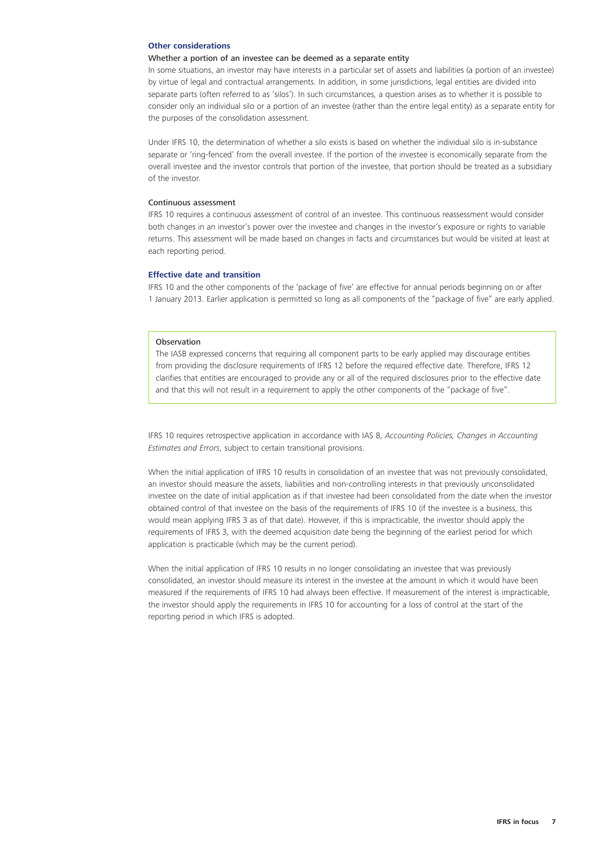#### <span id="page-6-0"></span>**Other considerations**

#### Whether a portion of an investee can be deemed as a separate entity

In some situations, an investor may have interests in a particular set of assets and liabilities (a portion of an investee) by virtue of legal and contractual arrangements. In addition, in some jurisdictions, legal entities are divided into separate parts (often referred to as 'silos'). In such circumstances, a question arises as to whether it is possible to consider only an individual silo or a portion of an investee (rather than the entire legal entity) as a separate entity for the purposes of the consolidation assessment.

Under IFRS 10, the determination of whether a silo exists is based on whether the individual silo is in-substance separate or 'ring-fenced' from the overall investee. If the portion of the investee is economically separate from the overall investee and the investor controls that portion of the investee, that portion should be treated as a subsidiary of the investor.

#### Continuous assessment

IFRS 10 requires a continuous assessment of control of an investee. This continuous reassessment would consider both changes in an investor's power over the investee and changes in the investor's exposure or rights to variable returns. This assessment will be made based on changes in facts and circumstances but would be visited at least at each reporting period.

#### **Effective date and transition**

IFRS 10 and the other components of the 'package of five' are effective for annual periods beginning on or after 1 January 2013. Earlier application is permitted so long as all components of the "package of five" are early applied.

#### Observation

The IASB expressed concerns that requiring all component parts to be early applied may discourage entities from providing the disclosure requirements of IFRS 12 before the required effective date. Therefore, IFRS 12 clarifies that entities are encouraged to provide any or all of the required disclosures prior to the effective date and that this will not result in a requirement to apply the other components of the "package of five".

IFRS 10 requires retrospective application in accordance with IAS 8, *Accounting Policies, Changes in Accounting Estimates and Errors*, subject to certain transitional provisions.

When the initial application of IFRS 10 results in consolidation of an investee that was not previously consolidated. an investor should measure the assets, liabilities and non-controlling interests in that previously unconsolidated investee on the date of initial application as if that investee had been consolidated from the date when the investor obtained control of that investee on the basis of the requirements of IFRS 10 (if the investee is a business, this would mean applying IFRS 3 as of that date). However, if this is impracticable, the investor should apply the requirements of IFRS 3, with the deemed acquisition date being the beginning of the earliest period for which application is practicable (which may be the current period).

When the initial application of IFRS 10 results in no longer consolidating an investee that was previously consolidated, an investor should measure its interest in the investee at the amount in which it would have been measured if the requirements of IFRS 10 had always been effective. If measurement of the interest is impracticable, the investor should apply the requirements in IFRS 10 for accounting for a loss of control at the start of the reporting period in which IFRS is adopted.